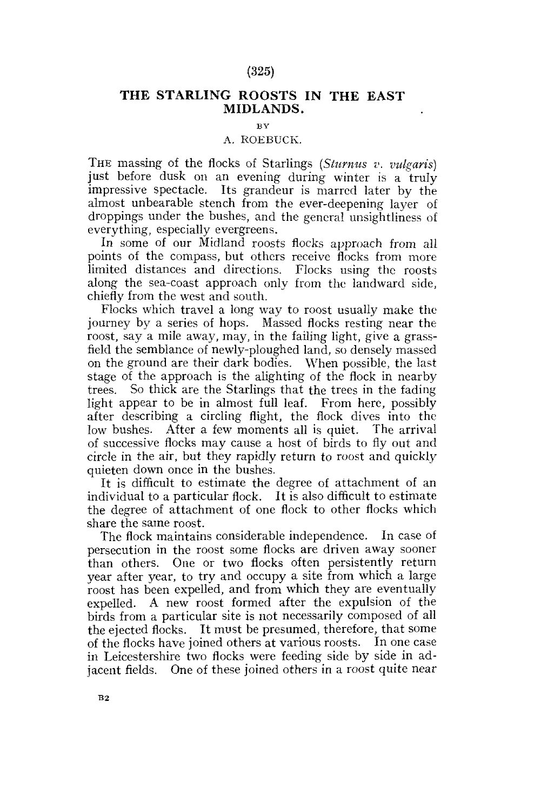# (325)

# **THE STARLING ROOSTS IN THE EAST MIDLANDS.**

# $B$ **V**

# A. ROEBUCK.

THE massing of the flocks of Starlings *(Sturnus v. vulgaris)* just before dusk on an evening during winter is a truly impressive spectacle. Its grandeur is marred later by the almost unbearable stench from the ever-deepening layer of droppings under the bushes, and the general unsightliness of everything, especially evergreens.

In some of our Midland roosts flocks approach from all points of the compass, but others receive flocks from more limited distances and directions. Flocks using the roosts along the sea-coast approach only from the landward side, chiefly from the west and south.

Flocks which travel a long way to roost usually make the journey by a series of hops. Massed flocks resting near the roost, say a mile away, may, in the failing light, give a grassfield the semblance of newly-ploughed land, so densely massed on the ground are their dark bodies. When possible, the last stage of the approach is the alighting of the flock in nearby trees. So thick are the Starlings that the trees in the fading light appear to be in almost full leaf. From here, possibly after describing a circling flight, the flock dives into the low bushes. After a few moments all is quiet. The arrival of successive flocks may cause a host of birds to fly out and circle in the air, but they rapidly return to roost and quickly quieten down once in the bushes.

It is difficult to estimate the degree of attachment of an individual to a particular flock. It is also difficult to estimate the degree of attachment of one flock to other flocks which share the same roost.

The flock maintains considerable independence. In case of persecution in the roost some flocks are driven away sooner than others. One or two flocks often persistently return year after year, to try and occupy a site from which a large roost has been expelled, and from which they are eventually expelled. A new roost formed after the expulsion of the birds from a particular site is not necessarily composed of all the ejected flocks. It must be presumed, therefore, that some of the flocks have joined others at various roosts. In one case in Leicestershire two flocks were feeding side by side in adjacent fields. One of these joined others in a roost quite near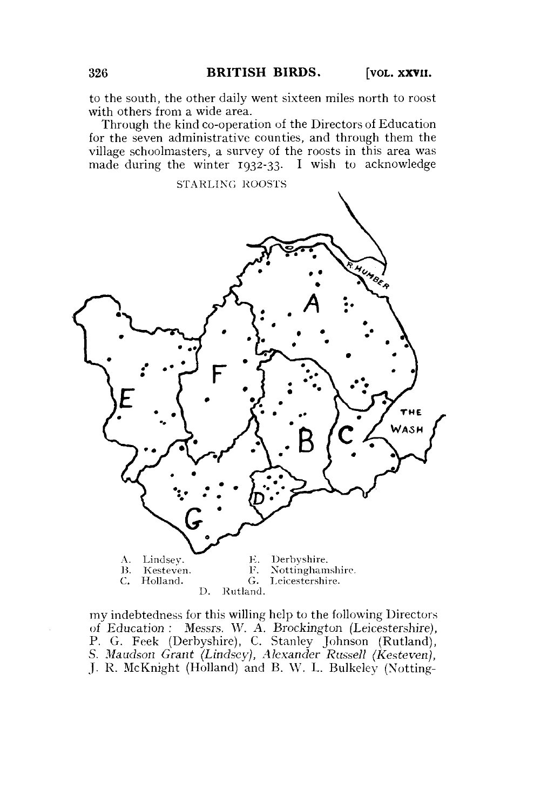to the south, the other daily went sixteen miles north to roost with others from a wide area.

Through the kind co-operation of the Directors of Education for the seven administrative counties, and through them the village schoolmasters, a survey of the roosts in this area was made during the winter 1932-33. I wish to acknowledge



my indebtedness for this willing help to the following Directors of Education : Messrs. W. A. Brockington (Leicestershire), P. G. Feek (Derbyshire), C. Stanley Johnson (Rutland), S. *Maudson Grant (Lindsey), Alexander Russell (Kesteven),*  J. R. McKnight (Holland) and B. W. L. Bulkeley (Notting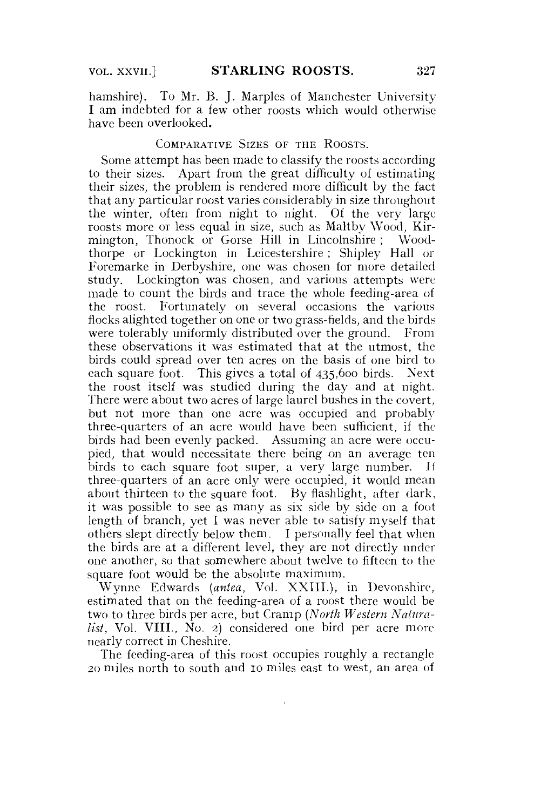hamshire). To Mr. B. J. Marples of Manchester University I am indebted for a few other roosts which would otherwise have been overlooked.

## COMPARATIVE SIZES OF THE ROOSTS.

Some attempt has been made to classify the roosts according to their sizes. Apart from the great difficulty of estimating their sizes, the problem is rendered more difficult by the fact that any particular roost varies considerably in size throughout the winter, often from night to night. Of the very large roosts more or less equal in size, such as Maltby Wood, Kirmington, Thonock or Gorse Hill in Lincolnshire ; Woodthorpe or Lockington in Leicestershire; Shipley Hall or Foremarke in Derbyshire, one was chosen for more detailed study. Lockington was chosen, and various attempts were made to count the birds and trace the whole feeding-area of the roost. Fortunately on several occasions the various flocks alighted together on one or two grass-fields, and the birds were tolerably uniformly distributed over the ground. From these observations it was estimated that at the utmost, the birds could spread over ten acres on the basis of one bird to each square foot. This gives a total of 435,600 birds. Next the roost itself was studied during the day and at night. There were about two acres of large laurel bushes in the covert, but not more than one acre was occupied and probably three-quarters of an acre would have been sufficient, if the birds had been evenly packed. Assuming an acre were occupied, that would necessitate there being on an average ten birds to each square foot super, a very large number. It three-quarters of an acre only were occupied, it would mean about thirteen to the square foot. By flashlight, after dark, it was possible to see as many as six side by side on a foot length of branch, yet I was never able to satisfy myself that others slept directly below them. 1 personally feel that when the birds are at a different level, they are not directly under one another, so that somewhere about twelve to fifteen to the square foot would be the absolute maximum.

Wynne Edwards *(antea,* Vol. XXIII.), in Devonshire, estimated that on the feeding-area of a roost there would be two to three birds per acre, but Cramp *(North Western Naturalist,* Vol. VIII., No. 2) considered one bird per acre more nearly correct in Cheshire.

The feeding-area of this roost occupies roughly a rectangle 20 miles north to south and 10 miles east to west, an area of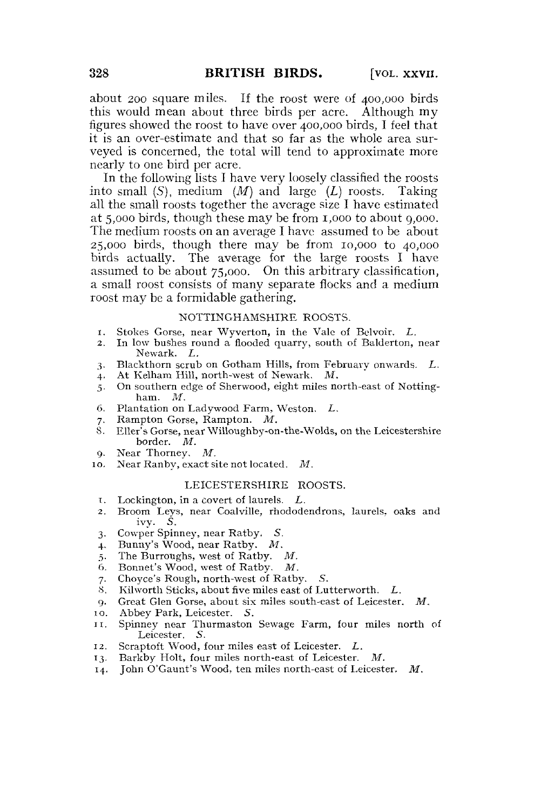about 200 square miles. If the roost were of 400,000 birds this would mean about three birds per acre. Although my figures showed the roost to have over 400,000 birds, I feel that it is an over-estimate and that so far as the whole area surveyed is concerned, the total will tend to approximate more nearly to one bird per acre.

In the following lists I have very loosely classified the roosts into small *(S),* medium *(M)* and large *(L)* roosts. Taking all the small roosts together the average size I have estimated at 5,000 birds, though these may be from 1,000 to about 9,000. The medium roosts on an average I have assumed to be about 25,000 birds, though there may be from 10,000 to 40,000 birds actually. The average for the large roosts I have assumed to be about 75,000. On this arbitrary classification, a small roost consists of many separate flocks and a medium roost may be a formidable gathering.

# NOTTINGHAMSHIRE ROOSTS.

- 1. Stokes Gorse, near Wyverton, in the Vale of Belvoir. *L.*
- 2. In low bushes round a flooded quarry, south of Balderton, near Newark. *L.*
- 3. Blackthorn scrub on Gotham Hills, from February onwards. *L.*
- 4. At Kelham Hill, north-west of Newark. *M.*
- 5. On southern edge of Sherwood, eight miles north-east of Notting-ham.  $\,$   $\,$   $\,$   $\,$   $\,$
- 6. Plantation on Ladywood Farm, Weston. L.
- 7. Rampton Gorse, Rampton. M.
- 7. Rampton Gorse, Rampton. *M.*  8. Ener Societ, near Willoughby-on-the-Words, on-the-Bercestershireborder. *M.*<br>Near Thorney. *M.*
- 
- *g.* Near Thorney. *M.*  M 10. Near Ranby, exact site not located. *M.*

#### LEICESTERSHIRE ROOSTS.

- i. Lockington, in a covert of laurels. *L.*
- 2. Broom Leys, near Coalville, rhododendrons, laurels, oaks and ivy. S.
- 3. Cowper Spinney, near Ratby, S.
- 4. Bunny's Wood, near Ratby. *M.*
- 5. The Burroughs, west of Ratby. *M.*
- 
- 6. Bonnet's Wood, west of Ratby. *M.*  7. Choyce's Rough, north-west of Ratby. S.
- Kilworth Sticks, about five miles east of Lutterworth. L.
- 9. Great Glen Gorse, about six miles south-east of Leicester. *M.*
- 1 o. Abbey Park, Leicester. S.
- 11. Spinney near Thurmaston Sewage Farm, four miles north of Leicester. S.
- 12. Scraptoft Wood, four miles east of Leicester. *L.*
- 13. Barkby Holt, four miles north-east of Leicester. *M.*
- 14. John O'Gaunt's Wood, ten miles north-east of Leicester, *M.*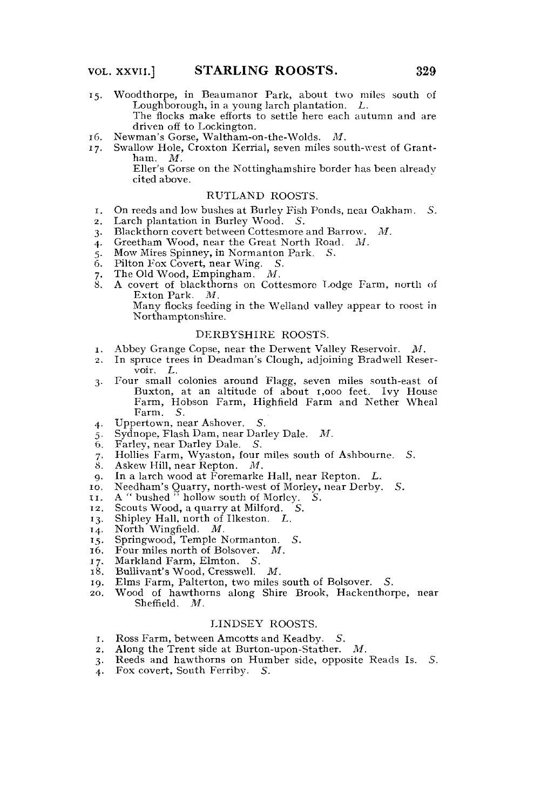- 15. Woodthorpe, in Beaumanor Park, about two miles south of Loughborough, in a young larch plantation. *L.*  The flocks make efforts to settle here each autumn and are driven off to Lockington.<br>Newman's Gorse, Waltham-on-the-Wolds. M.
- 
- 16. Newman's Gorse, Waltham-on-the-Wolds. *M.*   $17.$  Swallow Hole, Croxton Referring, seven innes south-west of Grant-

Eller's Gorse on the Nottinghamshire border has been already cited above.

### RUTLAND ROOSTS.

- 1. On reeds and low bushes at Burley Fish Ponds, neat Oakham. *S.*
- 2. Larch plantation in Burley Wood. *S.*
- 3. Blackthorn covert between Cottesmore and Barrow. *M.*
- 
- 5. Mow Mires Spinney, in Normanton Park. S.
- $\ddot{6}$ . Pilton Fox Covert, near Wing. S.
- 7. The Old Wood, Empingham.  $M$ .
- 8. A covert of blackthorns on Cottesmore Lodge Farm, north of Exton Park.  $M$ . Many flocks feeding in the Welland valley appear to roost in

Northamptonshire.

#### DERBYSHIRE ROOSTS.

- Abbey Grange Copse, near the Derwent Valley Reservoir. M. 1. Abbey Grange Copse, near the Derwent Valley Reservoir. *M.*
- *2.* In spruce trees in Deadman's Clough, adjoining Bradwell Reservoir. *L*.<br>Four small colonies around Flagg, seven miles south-east of
- 3. Four small colonies around Flagg, seven miles south-east of Farm, Hobson Farm, Highfield Farm and Nether Wheal<br>Farm, S. Farm. S.<br>Uppertown, near Ashover.
- 
- 4. Uppertown, near Ashover. S.<br>5. Sydnope, Flash Dam, near Darley Dale. М.
- $6.$  Farley, near Darley Dale. S.
- 7. Hollies Farm, Wyaston, four miles south of Ashbourne. S.<br>8. Askew Hill. near Repton.  $M$ .
- 8. Askew Hill, near Repton.  $M$ .<br>9. In a larch wood at Foremarke.
- 9. In a larch wood at Foremarke Hall, near Repton. L.<br>10. Needham's Quarry, north-west of Morley, near Derby.
- 9. In eequal in a guarry, north-west of morley, near Derby.
- 
- 11. A bushed hollow south of Morley, S.<br>10. Secute Weed a guarry of Milford. C. 12. Scouts Wood, a quarry at Milford. S.<br>13. Shipley Hall, north of Ilkeston. L.
- 
- 13. Suiptey Hall, notth of Inceston. *L.*<br>14. North Wingfield. *M*
- 14. North Wingfield. *M.*<br>15. Springwood, Temple Normanton. *S.*
- 16. Four miles north of Bolsover. М.
- 17. Markland Farm, Elmton. S.<br>18. Bullivant's Wood, Cresswell.
- 
- 18. Bullivant's Wood, Cresswell. M.<br>19. Elms Farm, Palterton, two miles 19. Elms Farm, Palterton, two miles south of Bolsover. S.<br>20. Wood of hawthorns along Shire Brook. Hackenthor
- Wood of hawthorns along Shire Brook, Hackenthorpe, near Sheffield. M.  $\text{SH}$

#### LINDSEY ROOSTS.

- Ross Farm, between Amcotts and Keadby. S. Τ.
- Along the Trent side at Burton-upon-Stather.  $M$ .
- 2. Along the Trent side at Burton-upon-Stather. M.<br>3. Reeds and hawthorns on Humber side, opposite Reads Is. S.
- 4. Fox covert, South Ferriby. S. 3. Reeds and hawthorns on Humber side, opposite Reads Is. *S.*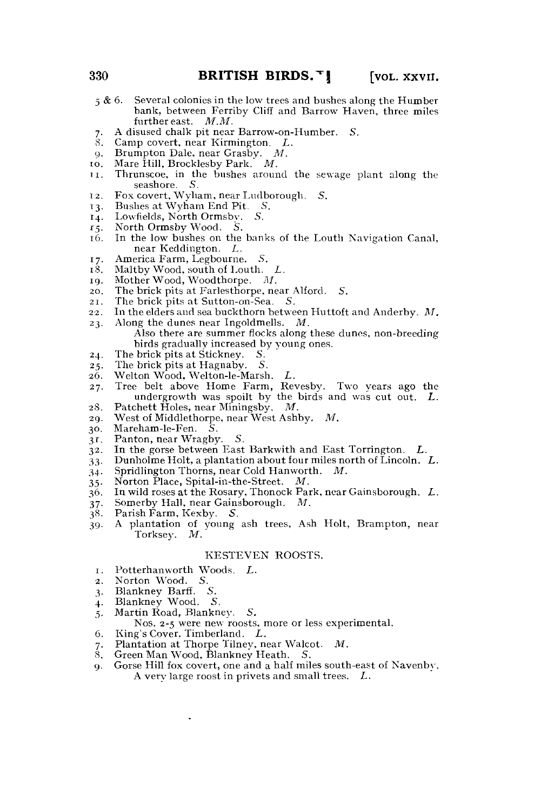- 6. Several colonies in the low trees and bushes along the Humber bank, between Ferriby Cliff and Barrow Haven, three miles further east.  $M.M$ . *5 6*
- A disused chalk pit near Barrow-on-Humber. S. *7*
- Camp covert, near Kirmington. *L.*  8.
- Brumpton Dale, near Grasby. *M.*   $\alpha$ .
- Mare Hill, Brocklesby Park." *M.*  10
- Thrunscoe, in the bushes around the sewage plant along the seashore. S. TI
- Fox covert, Wyham, near Ludborough. *S.*  12
- Bushes at Wyham End Pit. S. 13.
- Lowfields, North Ormsby. 14
- North Ormsby Wood. S.  $15.$
- In the low bushes on the banks of the Louth Navigation Canal, near Keddington. *L.*  16
- America Farm, Legbourne. 5. 17
- Maltby Wood, south of Louth. *L.*  18
- Mother Wood, Woodthorpe. *M.*  19.
- The brick pits at Farlesthorpe, near Alford. S. 20
- The brick pits at Sutton-on-Sea. S. 21
- In the elders and sea buckthorn between Huttoft and Anderby. *M.*   $22<sub>2</sub>$
- Along the dunes near Ingoldmells. *M.*  Also there are summer flocks along these dunes, non-breeding birds gradually increased by young ones. 23
- The brick pits at Stickney. S. 24
- The brick pits at Hagnaby. S. 25
- Welton Wood, Welton-le-Marsh. *L.*  26
- Tree belt above Home Farm, Revesby. Two years ago the undergrowth was spoilt by the birds and was cut out. *L.*  27
- Patchett Holes, near Miningsby. 28
- West of Middlethorpe, near West Ashby. *M.*  29
- Mareham-le-Fen. *S.*  3°
- Panton, near Wragby. 5. 3r
- In the gorse between East Barkwith and East Torrington. *L.*  32
- Dunholme Holt, a plantation about four miles north of Lincoln. *L.*  33
- Spridlington Thorns, near Cold Hanworth. *M.*   $34.$
- Norton Place, Spital-in-the-Street. *M.*   $35 -$
- In wild roses at the Rosary, Thonock Park, near Gainsborough. *L.*  36
- Somerby Hall, near Gainsborough. *M.*   $37 -$
- Parish Farm, Kexby. S. 38
- A plantation of young ash trees, Ash Holt, Brampton, near Torksey. *M.*  39

#### KESTEVEN ROOSTS.

- Potterhanworth Woods. *L.*   $T$ .
- Norton Wood. 5. 2
- 3
- Blankney Barff. *S.*  Blankney Wood. S. 4
- Martin Road, Blankney. *S.*   $5 -$
- Nos. 2-5 were new roosts, more or less experimental.
- King's Cover, Timberland. *L.*  6
- Plantation at Thorpe Tilney, near Walcot. *M.*  7
- Green Man Wood, Blankney Heath. S. 8
- Gorse Hill fox covert, one and a half miles south-east of Navenby. A very large roost in privets and small trees. *L.*  **Q**.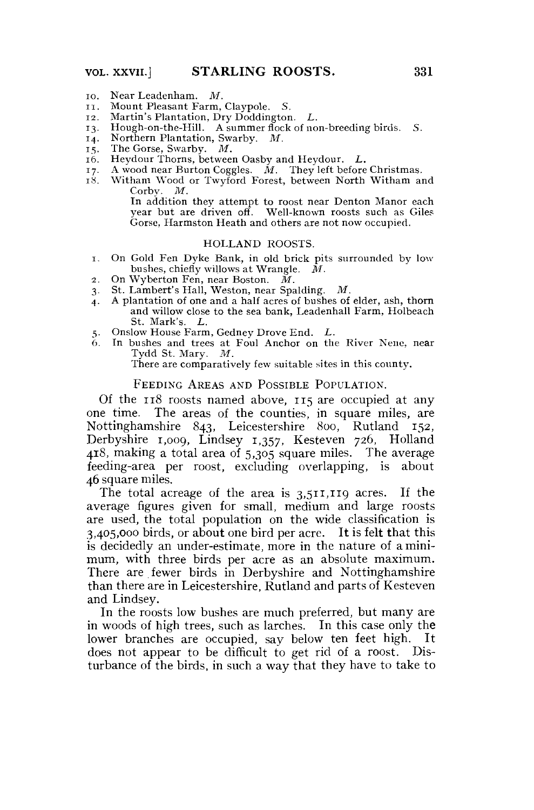- 10. Near Leadenham. *M.*
- I I . Mount Pleasant Farm, Claypole. *S.*
- 12. Martin's Plantation, Dry Doddington. *L.*
- 13. Hough-on-the-Hill. A summer flock of non-breeding birds. S.<br>14. Northern Plantation, Swarby. M.
- 14. Northern Plantation, Swarby. *M.*
- 
- $16.$  Heydour Thorns, between Oasby and Heydour. L.
- 17. A wood near Burton Coggles.  $\dot{M}$ . They left before Christmas.
- 18. Witham Wood or Twyford Forest, between North Witham and  $Corb$ v.  $M$ .

In addition they attempt to roost near Denton Manor each year but are driven off. Well-known roosts such as Giles Gorse, Harmston Heath and others are not now occupied.

#### HOLLAND ROOSTS.

- 1. On Gold Fen Dyke Bank, in old brick pits surrounded by low bushes, chiefly willows at Wrangle.  $\dot{M}$ . bushes, chiefly willows at Wrangle.
- 
- 2. On Wyberton Fen, near Boston. *M.*  3. St. Lambert's Hall, Weston, near Spalding. *M.*
- 4. A plantation of one and a half acres of bushes of elder, ash, thorn and willow close to the sea bank, Leadenhall Farm, Holbeach
- 5. Onslow House Farm, Gedney Drove End. L.
- 5. Onslow House Farm, Gedney Drove End. *L.*   $6.$  In bushes and trees at Four Anchor on the River Nene, near<br>Tydd St Mary  $M$ Tydd St. Mary. *M.*

### There are comparatively few suitable sites in this county. There is no county in this county in this county. In this county, we can contribute the county of the county of the county of the county of the county of the count FEEDING AREAS AND POSSIBLE POPULATION.

Of the 118 roosts named above, 115 are occupied at anyone time. The areas of the counties, in square miles, are Nottinghamshire 843, Leicestershire 800, Rutland 152, Derbyshire 1,009, Lindsey 1,357, Kesteven 726, Holland 418, making a total area of 5,305 square miles. The average feeding-area per roost, excluding overlapping, is about 46 square miles.

The total acreage of the area is 3,511,119 acres. If the average figures given for small, medium and large roosts are used, the total population on the wide classification is  $3,405,000$  birds, or about one bird per acre. It is felt that this is decidedly an under-estimate, more in the nature of a minimum, with three birds per acre as an absolute maximum. There are fewer birds in Derbyshire and Nottinghamshire than there are in Leicestershire, Rutland and parts of Kesteven and Lindsey.

In the roosts low bushes are much preferred, but many are in woods of high trees, such as larches. In this case only the lower branches are occupied, say below ten feet high. It does not appear to be difficult to get rid of a roost. Disturbance of the birds, in such a way that they have to take to